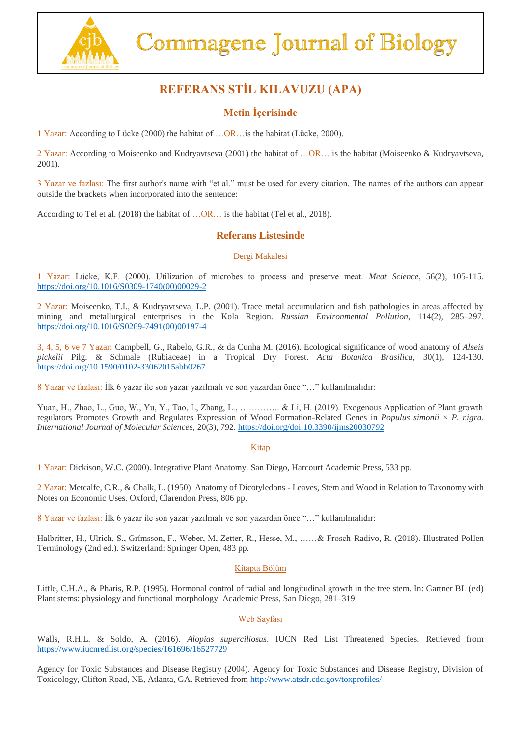

# **REFERANS STİL KILAVUZU (APA)**

## **Metin İçerisinde**

1 Yazar: According to Lücke (2000) the habitat of …OR…is the habitat (Lücke, 2000).

2 Yazar: According to Moiseenko and Kudryavtseva (2001) the habitat of …OR… is the habitat (Moiseenko & Kudryavtseva, 2001).

3 Yazar ve fazlası: The first author's name with "et al." must be used for every citation. The names of the authors can appear outside the brackets when incorporated into the sentence:

According to Tel et al. (2018) the habitat of …OR… is the habitat (Tel et al., 2018).

### **Referans Listesinde**

#### Dergi Makalesi

1 Yazar: Lücke, K.F. (2000). Utilization of microbes to process and preserve meat. *Meat Science*, 56(2), 105-115. [https://doi.org/10.1016/S0309-1740\(00\)00029-2](https://doi.org/10.1016/S0309-1740(00)00029-2)

2 Yazar: Moiseenko, T.I., & Kudryavtseva, L.P. (2001). Trace metal accumulation and fish pathologies in areas affected by mining and metallurgical enterprises in the Kola Region. *Russian Environmental Pollution*, 114(2), 285–297. [https://doi.org/10.1016/S0269-7491\(00\)00197-4](https://doi.org/10.1016/S0269-7491(00)00197-4)

3, 4, 5, 6 ve 7 Yazar: Campbell, G., Rabelo, G.R., & da Cunha M. (2016). Ecological significance of wood anatomy of *Alseis pickelii* Pilg. & Schmale (Rubiaceae) in a Tropical Dry Forest. *Acta Botanica Brasilica*, 30(1), 124-130. <https://doi.org/10.1590/0102-33062015abb0267>

8 Yazar ve fazlası: İlk 6 yazar ile son yazar yazılmalı ve son yazardan önce "…" kullanılmalıdır:

Yuan, H., Zhao, L., Guo, W., Yu, Y., Tao, L., Zhang, L., …………………. & Li, H. (2019). Exogenous Application of Plant growth regulators Promotes Growth and Regulates Expression of Wood Formation-Related Genes in *Populus simonii* × *P. nigra*. *International Journal of Molecular Sciences*, 20(3), 792.<https://doi.org/doi:10.3390/ijms20030792>

#### Kitap

1 Yazar: Dickison, W.C. (2000). Integrative Plant Anatomy. San Diego, Harcourt Academic Press, 533 pp.

2 Yazar: Metcalfe, C.R., & Chalk, L. (1950). Anatomy of Dicotyledons - Leaves, Stem and Wood in Relation to Taxonomy with Notes on Economic Uses. Oxford, Clarendon Press, 806 pp.

8 Yazar ve fazlası: İlk 6 yazar ile son yazar yazılmalı ve son yazardan önce "…" kullanılmalıdır:

Halbritter, H., Ulrich, S., Grímsson, F., Weber, M, Zetter, R., Hesse, M., ……& Frosch-Radivo, R. (2018). Illustrated Pollen Terminology (2nd ed.). Switzerland: Springer Open, 483 pp.

#### Kitapta Bölüm

Little, C.H.A., & Pharis, R.P. (1995). Hormonal control of radial and longitudinal growth in the tree stem. In: Gartner BL (ed) Plant stems: physiology and functional morphology. Academic Press, San Diego, 281–319.

#### Web Sayfası

Walls, R.H.L. & Soldo, A. (2016). *Alopias superciliosus*. IUCN Red List Threatened Species. Retrieved from <https://www.iucnredlist.org/species/161696/16527729>

Agency for Toxic Substances and Disease Registry (2004). Agency for Toxic Substances and Disease Registry, Division of Toxicology, Clifton Road, NE, Atlanta, GA. Retrieved from<http://www.atsdr.cdc.gov/toxprofiles/>